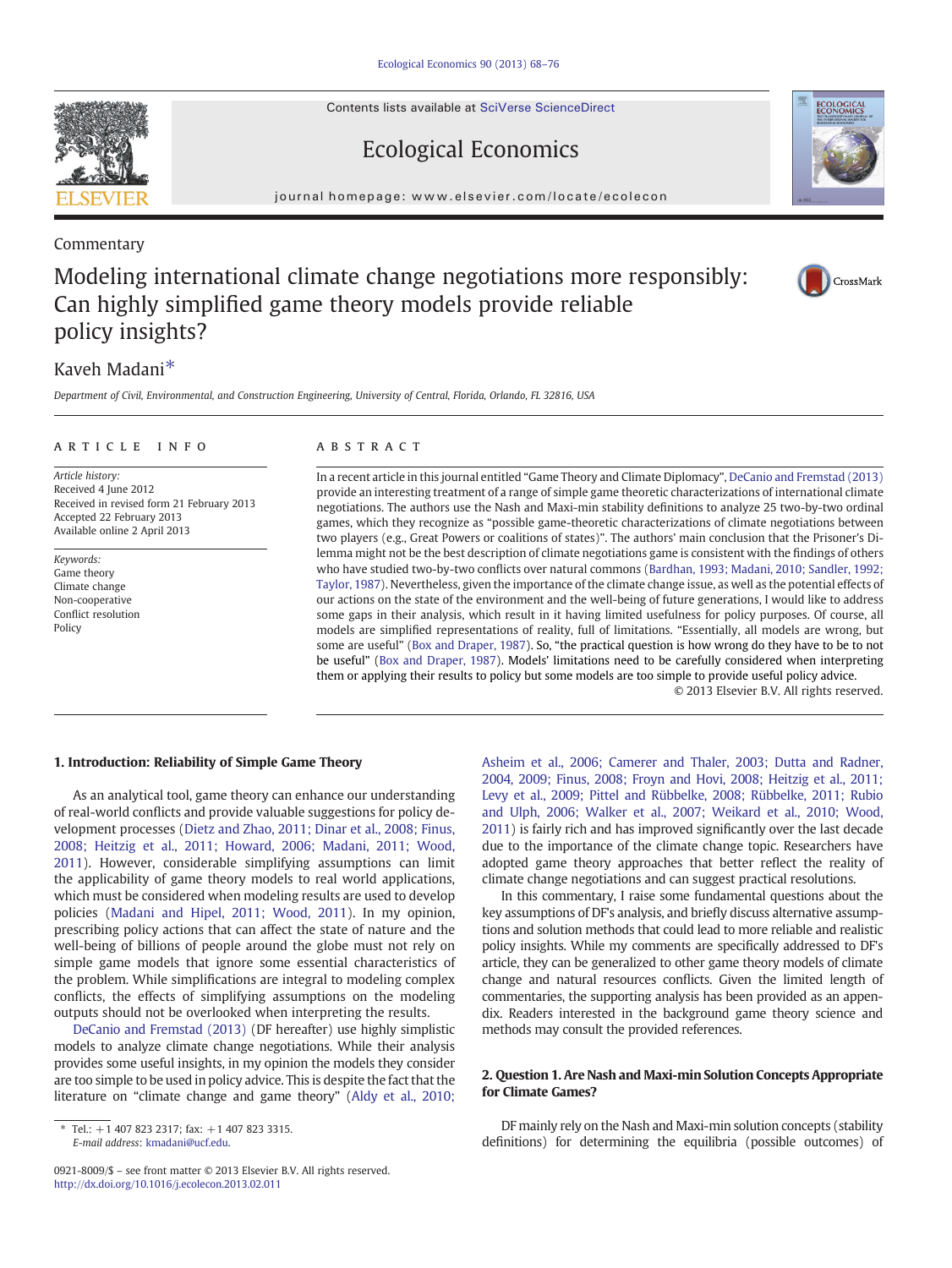Contents lists available at SciVerse ScienceDirect

## Ecological Economics

journal homepage: www.elsevier.com/locate/ecolecon

# Modeling international climate change negotiations more responsibly: Can highly simplified game theory models provide reliable policy insights?

## Kaveh Madani<sup>\*</sup>

Department of Civil, Environmental, and Construction Engineering, University of Central, Florida, Orlando, FL 32816, USA

### article info abstract

Article history: Received 4 June 2012 Received in revised form 21 February 2013 Accepted 22 February 2013 Available online 2 April 2013

Keywords: Game theory Climate change Non-cooperative Conflict resolution Policy

In a recent article in this journal entitled "Game Theory and Climate Diplomacy", DeCanio and Fremstad (2013) provide an interesting treatment of a range of simple game theoretic characterizations of international climate negotiations. The authors use the Nash and Maxi-min stability definitions to analyze 25 two-by-two ordinal games, which they recognize as "possible game-theoretic characterizations of climate negotiations between two players (e.g., Great Powers or coalitions of states)". The authors' main conclusion that the Prisoner's Dilemma might not be the best description of climate negotiations game is consistent with the findings of others who have studied two-by-two conflicts over natural commons [\(Bardhan, 1993; Madani, 2010; Sandler, 1992;](#page-7-0) [Taylor, 1987](#page-7-0)). Nevertheless, given the importance of the climate change issue, as well as the potential effects of our actions on the state of the environment and the well-being of future generations, I would like to address some gaps in their analysis, which result in it having limited usefulness for policy purposes. Of course, all models are simplified representations of reality, full of limitations. "Essentially, all models are wrong, but some are useful" (Box and Draper, 1987). So, "the practical question is how wrong do they have to be to not be useful" (Box and Draper, 1987). Models' limitations need to be carefully considered when interpreting them or applying their results to policy but some models are too simple to provide useful policy advice.

© 2013 Elsevier B.V. All rights reserved.

### 1. Introduction: Reliability of Simple Game Theory

As an analytical tool, game theory can enhance our understanding of real-world conflicts and provide valuable suggestions for policy development processes [\(Dietz and Zhao, 2011; Dinar et al., 2008; Finus,](#page-7-0) [2008; Heitzig et al., 2011; Howard, 2006; Madani, 2011; Wood,](#page-7-0) [2011\)](#page-7-0). However, considerable simplifying assumptions can limit the applicability of game theory models to real world applications, which must be considered when modeling results are used to develop policies [\(Madani and Hipel, 2011; Wood, 2011](#page-8-0)). In my opinion, prescribing policy actions that can affect the state of nature and the well-being of billions of people around the globe must not rely on simple game models that ignore some essential characteristics of the problem. While simplifications are integral to modeling complex conflicts, the effects of simplifying assumptions on the modeling outputs should not be overlooked when interpreting the results.

[DeCanio and Fremstad \(2013\)](#page-7-0) (DF hereafter) use highly simplistic models to analyze climate change negotiations. While their analysis provides some useful insights, in my opinion the models they consider are too simple to be used in policy advice. This is despite the fact that the literature on "climate change and game theory" [\(Aldy et al., 2010;](#page-7-0)

E-mail address: [kmadani@ucf.edu.](mailto:kmadani@ucf.edu)

[Asheim et al., 2006; Camerer and Thaler, 2003; Dutta and Radner,](#page-7-0) [2004, 2009; Finus, 2008; Froyn and Hovi, 2008; Heitzig et al., 2011;](#page-7-0) [Levy et al., 2009; Pittel and Rübbelke, 2008; Rübbelke, 2011; Rubio](#page-7-0) [and Ulph, 2006; Walker et al., 2007; Weikard et al., 2010; Wood,](#page-7-0) [2011\)](#page-7-0) is fairly rich and has improved significantly over the last decade due to the importance of the climate change topic. Researchers have adopted game theory approaches that better reflect the reality of climate change negotiations and can suggest practical resolutions.

In this commentary, I raise some fundamental questions about the key assumptions of DF's analysis, and briefly discuss alternative assumptions and solution methods that could lead to more reliable and realistic policy insights. While my comments are specifically addressed to DF's article, they can be generalized to other game theory models of climate change and natural resources conflicts. Given the limited length of commentaries, the supporting analysis has been provided as an appendix. Readers interested in the background game theory science and methods may consult the provided references.

### 2. Question 1. Are Nash and Maxi-min Solution Concepts Appropriate for Climate Games?

DF mainly rely on the Nash and Maxi-min solution concepts (stability definitions) for determining the equilibria (possible outcomes) of



Commentary



CrossMark

 $*$  Tel.:  $+1$  407 823 2317; fax:  $+1$  407 823 3315.

<sup>0921-8009/\$</sup> – see front matter © 2013 Elsevier B.V. All rights reserved. <http://dx.doi.org/10.1016/j.ecolecon.2013.02.011>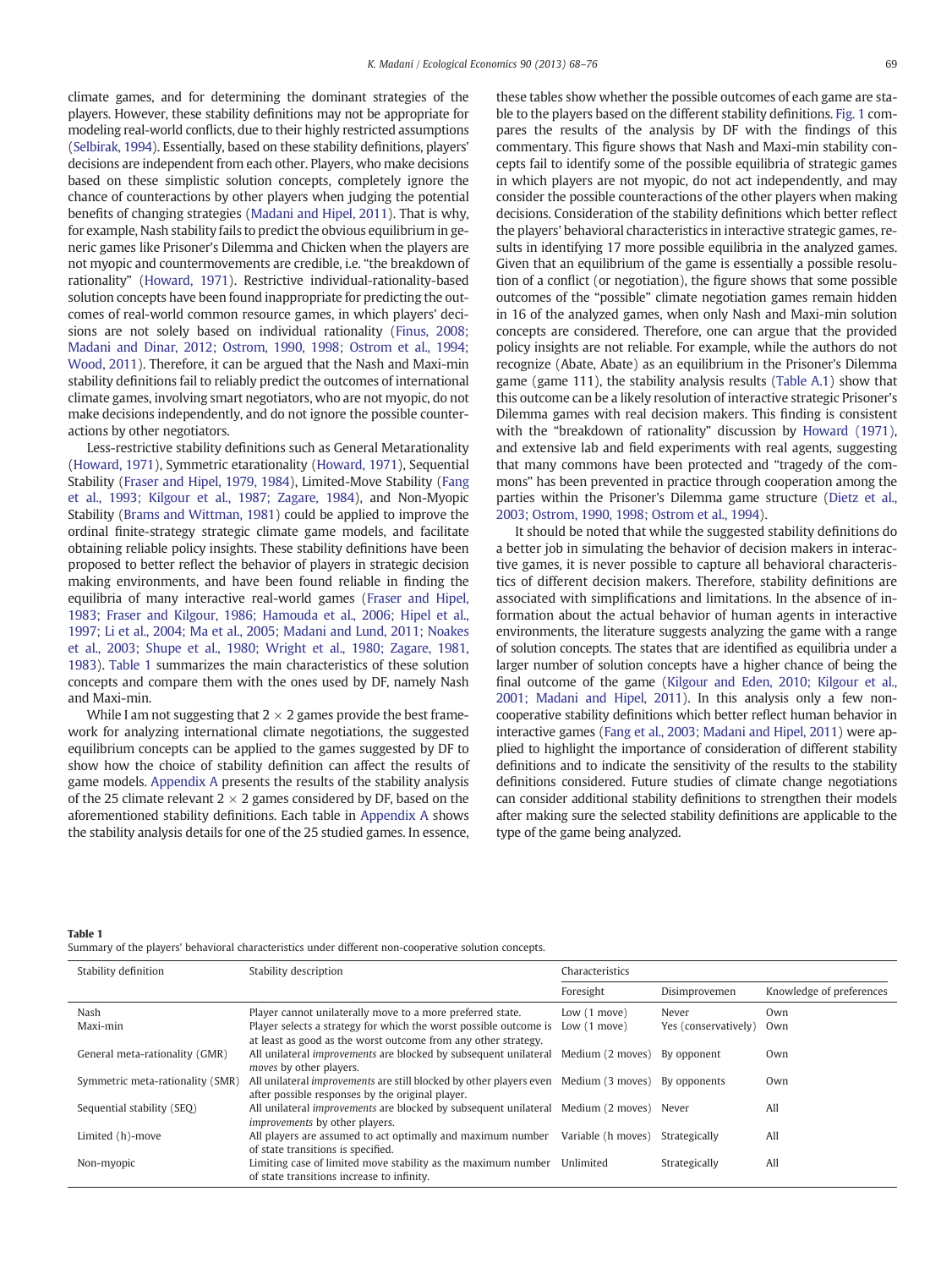climate games, and for determining the dominant strategies of the players. However, these stability definitions may not be appropriate for modeling real-world conflicts, due to their highly restricted assumptions [\(Selbirak, 1994](#page-8-0)). Essentially, based on these stability definitions, players' decisions are independent from each other. Players, who make decisions based on these simplistic solution concepts, completely ignore the chance of counteractions by other players when judging the potential benefits of changing strategies [\(Madani and Hipel, 2011\)](#page-8-0). That is why, for example, Nash stability fails to predict the obvious equilibrium in generic games like Prisoner's Dilemma and Chicken when the players are not myopic and countermovements are credible, i.e. "the breakdown of rationality" [\(Howard, 1971\)](#page-7-0). Restrictive individual-rationality-based solution concepts have been found inappropriate for predicting the outcomes of real-world common resource games, in which players' decisions are not solely based on individual rationality ([Finus, 2008;](#page-7-0) [Madani and Dinar, 2012; Ostrom, 1990, 1998; Ostrom et al., 1994;](#page-7-0) [Wood, 2011](#page-7-0)). Therefore, it can be argued that the Nash and Maxi-min stability definitions fail to reliably predict the outcomes of international climate games, involving smart negotiators, who are not myopic, do not make decisions independently, and do not ignore the possible counteractions by other negotiators.

Less-restrictive stability definitions such as General Metarationality [\(Howard, 1971\)](#page-7-0), Symmetric etarationality [\(Howard, 1971\)](#page-7-0), Sequential Stability ([Fraser and Hipel, 1979, 1984](#page-7-0)), Limited-Move Stability ([Fang](#page-7-0) [et al., 1993; Kilgour et al., 1987; Zagare, 1984\)](#page-7-0), and Non-Myopic Stability [\(Brams and Wittman, 1981](#page-7-0)) could be applied to improve the ordinal finite-strategy strategic climate game models, and facilitate obtaining reliable policy insights. These stability definitions have been proposed to better reflect the behavior of players in strategic decision making environments, and have been found reliable in finding the equilibria of many interactive real-world games ([Fraser and Hipel,](#page-7-0) [1983; Fraser and Kilgour, 1986; Hamouda et al., 2006; Hipel et al.,](#page-7-0) [1997; Li et al., 2004; Ma et al., 2005; Madani and Lund, 2011; Noakes](#page-7-0) [et al., 2003; Shupe et al., 1980; Wright et al., 1980; Zagare, 1981,](#page-7-0) [1983](#page-7-0)). Table 1 summarizes the main characteristics of these solution concepts and compare them with the ones used by DF, namely Nash and Maxi-min.

While I am not suggesting that  $2 \times 2$  games provide the best framework for analyzing international climate negotiations, the suggested equilibrium concepts can be applied to the games suggested by DF to show how the choice of stability definition can affect the results of game models. [Appendix A](#page-4-0) presents the results of the stability analysis of the 25 climate relevant  $2 \times 2$  games considered by DF, based on the aforementioned stability definitions. Each table in [Appendix A](#page-4-0) shows the stability analysis details for one of the 25 studied games. In essence,

these tables show whether the possible outcomes of each game are stable to the players based on the different stability definitions. [Fig. 1](#page-2-0) compares the results of the analysis by DF with the findings of this commentary. This figure shows that Nash and Maxi-min stability concepts fail to identify some of the possible equilibria of strategic games in which players are not myopic, do not act independently, and may consider the possible counteractions of the other players when making decisions. Consideration of the stability definitions which better reflect the players' behavioral characteristics in interactive strategic games, results in identifying 17 more possible equilibria in the analyzed games. Given that an equilibrium of the game is essentially a possible resolution of a conflict (or negotiation), the figure shows that some possible outcomes of the "possible" climate negotiation games remain hidden in 16 of the analyzed games, when only Nash and Maxi-min solution concepts are considered. Therefore, one can argue that the provided policy insights are not reliable. For example, while the authors do not recognize (Abate, Abate) as an equilibrium in the Prisoner's Dilemma game (game 111), the stability analysis results [\(Table A.1](#page-5-0)) show that this outcome can be a likely resolution of interactive strategic Prisoner's Dilemma games with real decision makers. This finding is consistent with the "breakdown of rationality" discussion by [Howard \(1971\),](#page-7-0) and extensive lab and field experiments with real agents, suggesting that many commons have been protected and "tragedy of the commons" has been prevented in practice through cooperation among the parties within the Prisoner's Dilemma game structure ([Dietz et al.,](#page-7-0) [2003; Ostrom, 1990, 1998; Ostrom et al., 1994](#page-7-0)).

It should be noted that while the suggested stability definitions do a better job in simulating the behavior of decision makers in interactive games, it is never possible to capture all behavioral characteristics of different decision makers. Therefore, stability definitions are associated with simplifications and limitations. In the absence of information about the actual behavior of human agents in interactive environments, the literature suggests analyzing the game with a range of solution concepts. The states that are identified as equilibria under a larger number of solution concepts have a higher chance of being the final outcome of the game ([Kilgour and Eden, 2010; Kilgour et al.,](#page-7-0) [2001; Madani and Hipel, 2011](#page-7-0)). In this analysis only a few noncooperative stability definitions which better reflect human behavior in interactive games [\(Fang et al., 2003; Madani and Hipel, 2011](#page-7-0)) were applied to highlight the importance of consideration of different stability definitions and to indicate the sensitivity of the results to the stability definitions considered. Future studies of climate change negotiations can consider additional stability definitions to strengthen their models after making sure the selected stability definitions are applicable to the type of the game being analyzed.

#### Table 1

Summary of the players' behavioral characteristics under different non-cooperative solution concepts.

| Stability definition             | Stability description                                                                                    | Characteristics    |                      |                          |
|----------------------------------|----------------------------------------------------------------------------------------------------------|--------------------|----------------------|--------------------------|
|                                  |                                                                                                          | Foresight          | Disimprovemen        | Knowledge of preferences |
| Nash                             | Player cannot unilaterally move to a more preferred state.                                               | Low $(1$ move)     | Never                | Own                      |
| Maxi-min                         | Player selects a strategy for which the worst possible outcome is                                        | Low $(1$ move)     | Yes (conservatively) | Own                      |
|                                  | at least as good as the worst outcome from any other strategy.                                           |                    |                      |                          |
| General meta-rationality (GMR)   | All unilateral <i>improvements</i> are blocked by subsequent unilateral Medium (2 moves) By opponent     |                    |                      | Own                      |
|                                  | moves by other players.                                                                                  |                    |                      |                          |
| Symmetric meta-rationality (SMR) | All unilateral <i>improvements</i> are still blocked by other players even Medium (3 moves) By opponents |                    |                      | Own                      |
|                                  | after possible responses by the original player.                                                         |                    |                      |                          |
| Sequential stability (SEQ)       | All unilateral <i>improvements</i> are blocked by subsequent unilateral Medium (2 moves) Never           |                    |                      | All                      |
|                                  | improvements by other players.                                                                           |                    |                      |                          |
| Limited (h)-move                 | All players are assumed to act optimally and maximum number                                              | Variable (h moves) | Strategically        | All                      |
|                                  | of state transitions is specified.                                                                       |                    |                      |                          |
| Non-myopic                       | Limiting case of limited move stability as the maximum number Unlimited                                  |                    | Strategically        | All                      |
|                                  | of state transitions increase to infinity.                                                               |                    |                      |                          |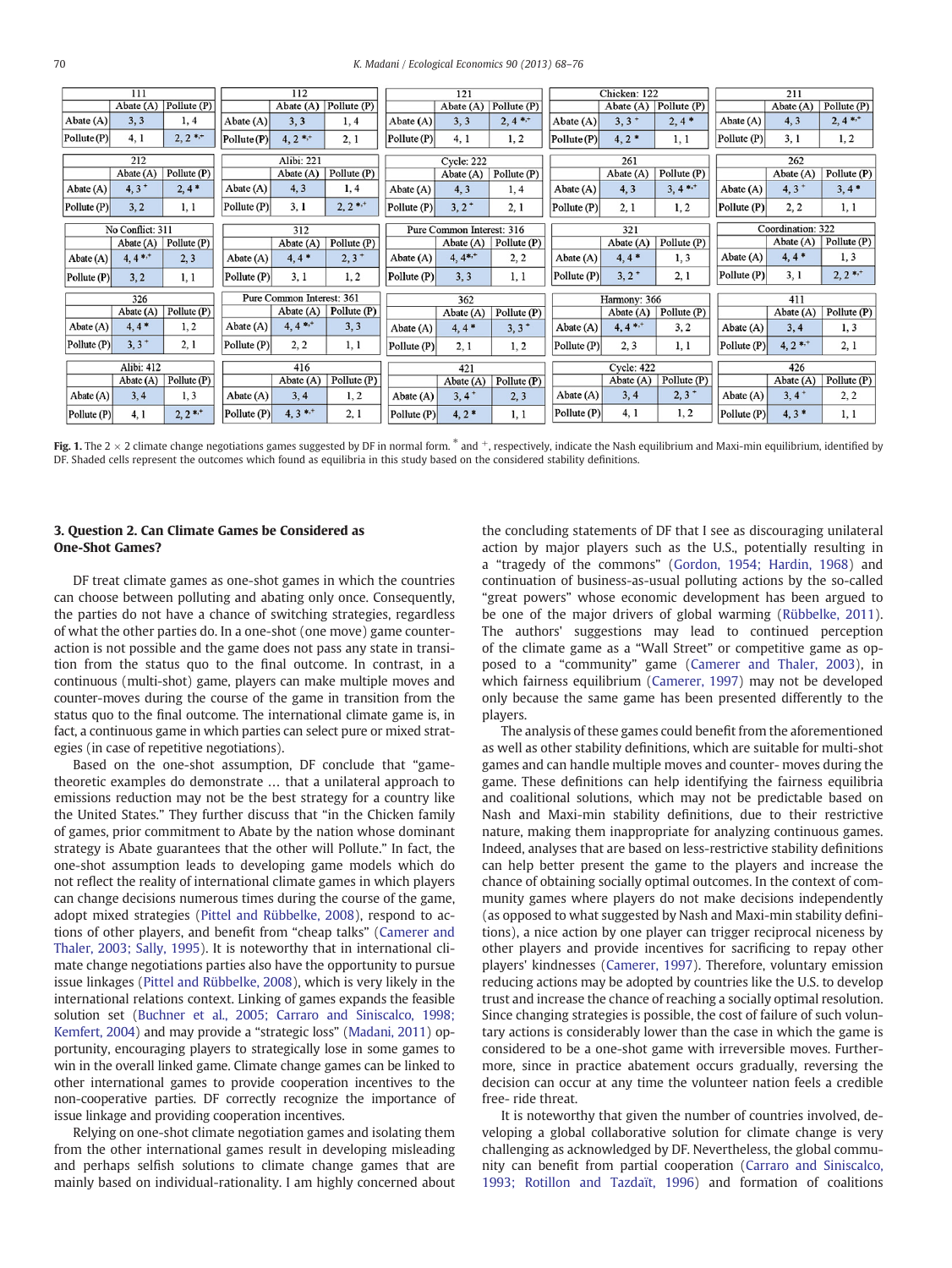<span id="page-2-0"></span>

|                      | 111              |                       |                            | 112                       |                           |                   | 121          |             |                                                     | Chicken: 122          |                       |               | 211                   |                       |
|----------------------|------------------|-----------------------|----------------------------|---------------------------|---------------------------|-------------------|--------------|-------------|-----------------------------------------------------|-----------------------|-----------------------|---------------|-----------------------|-----------------------|
|                      | Abate (A)        | Pollute (P)           |                            | Abate (A)                 | Pollute (P)               |                   | Abate (A)    | Pollute (P) |                                                     | Abate (A)             | Pollute (P)           |               | Abate (A)             | Pollute (P)           |
| Abate (A)            | 3, 3             | 1, 4                  | Abate $(A)$                | 3, 3                      | 1, 4                      | Abate (A)         | 3, 3         | $2, 4$ *.   | Abate (A)                                           | $3.3+$                | $2, 4*$               | Abate (A)     | 4, 3                  | $2, 4$ * <sup>+</sup> |
| Pollute(P)           | 4, 1             | $2, 2$ *.             | $\text{Pollute}(\text{P})$ | $4, 2$ *, +               | 2, 1                      | Pollute (P)       | 4, 1         | 1, 2        | $\left $ Pollute $\left(\overline{P}\right)\right $ | $4, 2 *$              | 1, 1                  | Pollute (P)   | 3, 1                  | 1, 2                  |
|                      | 212              |                       |                            | Alibi: 221                |                           | <b>Cycle: 222</b> |              |             | 261                                                 |                       |                       | 262           |                       |                       |
|                      | Abate (A)        | Pollute (P)           |                            | Abate (A)                 | Pollute(P)                |                   | Abate (A)    | Pollute (P) |                                                     | Abate (A)             | Pollute(P)            |               | Abate (A)             | Pollute (P)           |
| Abate (A)            | $4, 3 +$         | $2,4*$                | Abate (A)                  | 4, 3                      | 1, 4                      | Abate (A)         | 4, 3         | 1, 4        | Abate (A)                                           | 4, 3                  | $3, 4$ * <sup>+</sup> | Abate (A)     | $4, 3 +$              | $3, 4*$               |
| Pollute (P)          | 3, 2             | 1, 1                  | $\text{Pollute (P)}$       | 3, 1                      | $2, 2$ * <sup>+</sup>     | Pollute(P)        | $3, 2^+$     | 2,1         | Pollute $(P)$                                       | 2,1                   | 1, 2                  | Pollute $(P)$ | 2, 2                  | 1, 1                  |
|                      | No Conflict: 311 | 312                   |                            |                           | Pure Common Interest: 316 |                   |              | 321         |                                                     | Coordination: 322     |                       |               |                       |                       |
|                      | Abate $(A)$      | Pollute(P)            |                            | Abate (A)                 | Pollute (P)               |                   | Abate $(A)$  | Pollute (P) |                                                     | Abate (A)             | Pollute (P)           |               | Abate (A)             | Pollute(P)            |
| Abate (A)            | $4, 4$ *,*       | 2, 3                  | Abate $(A)$                | $4, 4*$                   | $2, 3 +$                  | Abate $(A)$       | $4, 4^{*,+}$ | 2, 2        | Abate $(A)$                                         | $4, 4*$               | 1, 3                  | Abate $(A)$   | $4, 4*$               | 1, 3                  |
| $\text{Pollute (P)}$ | 3, 2             | 1, 1                  | Pollute (P)                | 3.1                       | 1, 2                      | Pollute (P)       | 3, 3         | 1, 1        | Pollute (P)                                         | $3, 2^+$              | 2.1                   | Pollute (P)   | 3,1                   | $2, 2$ * <sup>+</sup> |
|                      | 326              |                       |                            | Pure Common Interest: 361 |                           |                   | 362          |             | Harmony: 366                                        |                       |                       | 411           |                       |                       |
|                      | Abate (A)        | Pollute (P)           |                            | Abate (A)                 | Pollute (P)               |                   | Abate (A)    | Pollute (P) |                                                     | Abate (A)             | Pollute(P)            |               | Abate (A)             | Pollute (P)           |
| Abate (A)            | $4, 4*$          | 1, 2                  | Abate (A)                  | $4, 4$ * <sup>+</sup>     | 3, 3                      | Abate (A)         | $4, 4*$      | $3, 3 +$    | Abate $(A)$                                         | $4, 4$ * <sup>+</sup> | 3, 2                  | Abate $(A)$   | 3, 4                  | 1, 3                  |
| Pollute (P)          | $3.3+$           | 2,1                   | Pollute $(P)$              | 2, 2                      | 1, 1                      | Pollute (P)       | 2, 1         | 1, 2        | $\text{Pollute (P)}$                                | 2, 3                  | 1, 1                  | Pollute (P)   | $4, 2$ * <sup>+</sup> | 2, 1                  |
|                      | Alibi: 412       |                       |                            | 416                       |                           | 421               |              |             | <b>Cycle: 422</b>                                   |                       |                       | 426           |                       |                       |
|                      | Abate(A)         | Pollute (P)           |                            | Abate $(A)$               | Pollute (P)               |                   | Abate (A)    | Pollute (P) |                                                     | Abate $(A)$           | Pollute $(P)$         |               | Abate $(A)$           | Pollute(P)            |
| Abate (A)            | 3, 4             | 1, 3                  | Abate (A)                  | 3, 4                      | 1, 2                      | Abate $(A)$       | $3, 4^+$     | 2, 3        | Abate $(A)$                                         | 3, 4                  | $2, 3 +$              | Abate $(A)$   | $3, 4 +$              | 2, 2                  |
| Pollute(P)           | 4, 1             | $2, 2$ * <sup>+</sup> | Pollute(P)                 | $4, 3$ *.                 | 2,1                       | Pollute $(P)$     | $4, 2*$      | 1, 1        | Pollute (P)                                         | 4, 1                  | 1, 2                  | Pollute (P)   | $4, 3*$               | 1, 1                  |

Fig. 1. The  $2 \times 2$  climate change negotiations games suggested by DF in normal form.  $*$  and  $\pm$ , respectively, indicate the Nash equilibrium and Maxi-min equilibrium, identified by DF. Shaded cells represent the outcomes which found as equilibria in this study based on the considered stability definitions.

### 3. Question 2. Can Climate Games be Considered as One-Shot Games?

DF treat climate games as one-shot games in which the countries can choose between polluting and abating only once. Consequently, the parties do not have a chance of switching strategies, regardless of what the other parties do. In a one-shot (one move) game counteraction is not possible and the game does not pass any state in transition from the status quo to the final outcome. In contrast, in a continuous (multi-shot) game, players can make multiple moves and counter-moves during the course of the game in transition from the status quo to the final outcome. The international climate game is, in fact, a continuous game in which parties can select pure or mixed strategies (in case of repetitive negotiations).

Based on the one-shot assumption, DF conclude that "gametheoretic examples do demonstrate … that a unilateral approach to emissions reduction may not be the best strategy for a country like the United States." They further discuss that "in the Chicken family of games, prior commitment to Abate by the nation whose dominant strategy is Abate guarantees that the other will Pollute." In fact, the one-shot assumption leads to developing game models which do not reflect the reality of international climate games in which players can change decisions numerous times during the course of the game, adopt mixed strategies ([Pittel and Rübbelke, 2008\)](#page-8-0), respond to actions of other players, and benefit from "cheap talks" ([Camerer and](#page-7-0) [Thaler, 2003; Sally, 1995](#page-7-0)). It is noteworthy that in international climate change negotiations parties also have the opportunity to pursue issue linkages ([Pittel and Rübbelke, 2008\)](#page-8-0), which is very likely in the international relations context. Linking of games expands the feasible solution set [\(Buchner et al., 2005; Carraro and Siniscalco, 1998;](#page-7-0) [Kemfert, 2004](#page-7-0)) and may provide a "strategic loss" [\(Madani, 2011\)](#page-8-0) opportunity, encouraging players to strategically lose in some games to win in the overall linked game. Climate change games can be linked to other international games to provide cooperation incentives to the non-cooperative parties. DF correctly recognize the importance of issue linkage and providing cooperation incentives.

Relying on one-shot climate negotiation games and isolating them from the other international games result in developing misleading and perhaps selfish solutions to climate change games that are mainly based on individual-rationality. I am highly concerned about

the concluding statements of DF that I see as discouraging unilateral action by major players such as the U.S., potentially resulting in a "tragedy of the commons" ([Gordon, 1954; Hardin, 1968\)](#page-7-0) and continuation of business-as-usual polluting actions by the so-called "great powers" whose economic development has been argued to be one of the major drivers of global warming ([Rübbelke, 2011](#page-8-0)). The authors' suggestions may lead to continued perception of the climate game as a "Wall Street" or competitive game as opposed to a "community" game [\(Camerer and Thaler, 2003](#page-7-0)), in which fairness equilibrium [\(Camerer, 1997](#page-7-0)) may not be developed only because the same game has been presented differently to the players.

The analysis of these games could benefit from the aforementioned as well as other stability definitions, which are suitable for multi-shot games and can handle multiple moves and counter- moves during the game. These definitions can help identifying the fairness equilibria and coalitional solutions, which may not be predictable based on Nash and Maxi-min stability definitions, due to their restrictive nature, making them inappropriate for analyzing continuous games. Indeed, analyses that are based on less-restrictive stability definitions can help better present the game to the players and increase the chance of obtaining socially optimal outcomes. In the context of community games where players do not make decisions independently (as opposed to what suggested by Nash and Maxi-min stability definitions), a nice action by one player can trigger reciprocal niceness by other players and provide incentives for sacrificing to repay other players' kindnesses ([Camerer, 1997\)](#page-7-0). Therefore, voluntary emission reducing actions may be adopted by countries like the U.S. to develop trust and increase the chance of reaching a socially optimal resolution. Since changing strategies is possible, the cost of failure of such voluntary actions is considerably lower than the case in which the game is considered to be a one-shot game with irreversible moves. Furthermore, since in practice abatement occurs gradually, reversing the decision can occur at any time the volunteer nation feels a credible free- ride threat.

It is noteworthy that given the number of countries involved, developing a global collaborative solution for climate change is very challenging as acknowledged by DF. Nevertheless, the global community can benefit from partial cooperation ([Carraro and Siniscalco,](#page-7-0) [1993; Rotillon and Tazdaït, 1996](#page-7-0)) and formation of coalitions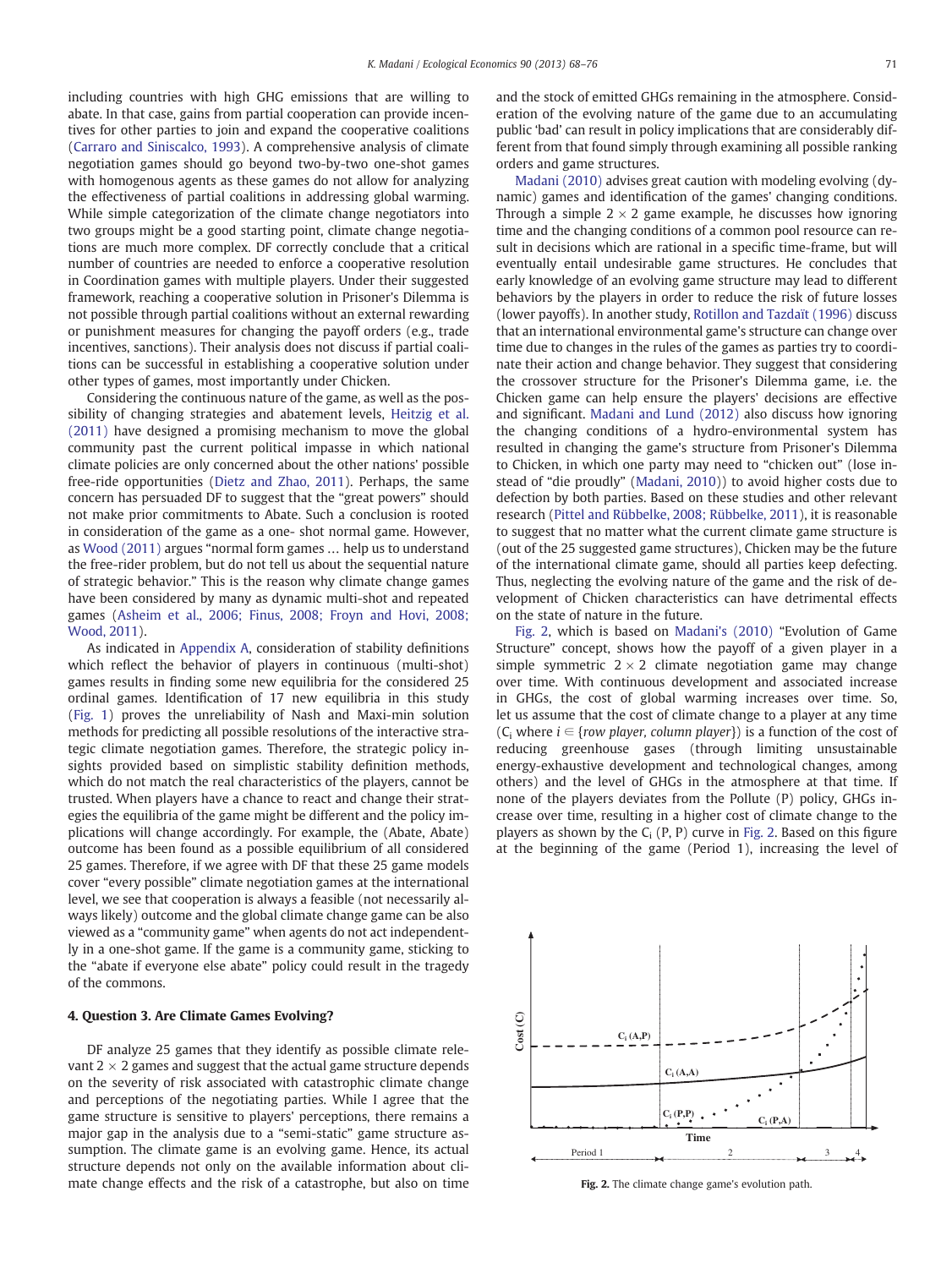<span id="page-3-0"></span>including countries with high GHG emissions that are willing to abate. In that case, gains from partial cooperation can provide incentives for other parties to join and expand the cooperative coalitions [\(Carraro and Siniscalco, 1993\)](#page-7-0). A comprehensive analysis of climate negotiation games should go beyond two-by-two one-shot games with homogenous agents as these games do not allow for analyzing the effectiveness of partial coalitions in addressing global warming. While simple categorization of the climate change negotiators into two groups might be a good starting point, climate change negotiations are much more complex. DF correctly conclude that a critical number of countries are needed to enforce a cooperative resolution in Coordination games with multiple players. Under their suggested framework, reaching a cooperative solution in Prisoner's Dilemma is not possible through partial coalitions without an external rewarding or punishment measures for changing the payoff orders (e.g., trade incentives, sanctions). Their analysis does not discuss if partial coalitions can be successful in establishing a cooperative solution under other types of games, most importantly under Chicken.

Considering the continuous nature of the game, as well as the possibility of changing strategies and abatement levels, [Heitzig et al.](#page-7-0) [\(2011\)](#page-7-0) have designed a promising mechanism to move the global community past the current political impasse in which national climate policies are only concerned about the other nations' possible free-ride opportunities [\(Dietz and Zhao, 2011\)](#page-7-0). Perhaps, the same concern has persuaded DF to suggest that the "great powers" should not make prior commitments to Abate. Such a conclusion is rooted in consideration of the game as a one- shot normal game. However, as [Wood \(2011\)](#page-8-0) argues "normal form games … help us to understand the free-rider problem, but do not tell us about the sequential nature of strategic behavior." This is the reason why climate change games have been considered by many as dynamic multi-shot and repeated games ([Asheim et al., 2006; Finus, 2008; Froyn and Hovi, 2008;](#page-7-0) [Wood, 2011\)](#page-7-0).

As indicated in [Appendix A,](#page-4-0) consideration of stability definitions which reflect the behavior of players in continuous (multi-shot) games results in finding some new equilibria for the considered 25 ordinal games. Identification of 17 new equilibria in this study [\(Fig. 1\)](#page-2-0) proves the unreliability of Nash and Maxi-min solution methods for predicting all possible resolutions of the interactive strategic climate negotiation games. Therefore, the strategic policy insights provided based on simplistic stability definition methods, which do not match the real characteristics of the players, cannot be trusted. When players have a chance to react and change their strategies the equilibria of the game might be different and the policy implications will change accordingly. For example, the (Abate, Abate) outcome has been found as a possible equilibrium of all considered 25 games. Therefore, if we agree with DF that these 25 game models cover "every possible" climate negotiation games at the international level, we see that cooperation is always a feasible (not necessarily always likely) outcome and the global climate change game can be also viewed as a "community game" when agents do not act independently in a one-shot game. If the game is a community game, sticking to the "abate if everyone else abate" policy could result in the tragedy of the commons.

### 4. Question 3. Are Climate Games Evolving?

DF analyze 25 games that they identify as possible climate relevant  $2 \times 2$  games and suggest that the actual game structure depends on the severity of risk associated with catastrophic climate change and perceptions of the negotiating parties. While I agree that the game structure is sensitive to players' perceptions, there remains a major gap in the analysis due to a "semi-static" game structure assumption. The climate game is an evolving game. Hence, its actual structure depends not only on the available information about climate change effects and the risk of a catastrophe, but also on time and the stock of emitted GHGs remaining in the atmosphere. Consideration of the evolving nature of the game due to an accumulating public 'bad' can result in policy implications that are considerably different from that found simply through examining all possible ranking orders and game structures.

[Madani \(2010\)](#page-8-0) advises great caution with modeling evolving (dynamic) games and identification of the games' changing conditions. Through a simple  $2 \times 2$  game example, he discusses how ignoring time and the changing conditions of a common pool resource can result in decisions which are rational in a specific time-frame, but will eventually entail undesirable game structures. He concludes that early knowledge of an evolving game structure may lead to different behaviors by the players in order to reduce the risk of future losses (lower payoffs). In another study, [Rotillon and Tazdaït \(1996\)](#page-8-0) discuss that an international environmental game's structure can change over time due to changes in the rules of the games as parties try to coordinate their action and change behavior. They suggest that considering the crossover structure for the Prisoner's Dilemma game, i.e. the Chicken game can help ensure the players' decisions are effective and significant. [Madani and Lund \(2012\)](#page-8-0) also discuss how ignoring the changing conditions of a hydro-environmental system has resulted in changing the game's structure from Prisoner's Dilemma to Chicken, in which one party may need to "chicken out" (lose instead of "die proudly" ([Madani, 2010](#page-8-0))) to avoid higher costs due to defection by both parties. Based on these studies and other relevant research ([Pittel and Rübbelke, 2008; Rübbelke, 2011\)](#page-8-0), it is reasonable to suggest that no matter what the current climate game structure is (out of the 25 suggested game structures), Chicken may be the future of the international climate game, should all parties keep defecting. Thus, neglecting the evolving nature of the game and the risk of development of Chicken characteristics can have detrimental effects on the state of nature in the future.

Fig. 2, which is based on [Madani's \(2010\)](#page-8-0) "Evolution of Game Structure" concept, shows how the payoff of a given player in a simple symmetric  $2 \times 2$  climate negotiation game may change over time. With continuous development and associated increase in GHGs, the cost of global warming increases over time. So, let us assume that the cost of climate change to a player at any time (C<sub>i</sub> where  $i \in \{row$  player, column player}) is a function of the cost of reducing greenhouse gases (through limiting unsustainable energy-exhaustive development and technological changes, among others) and the level of GHGs in the atmosphere at that time. If none of the players deviates from the Pollute (P) policy, GHGs increase over time, resulting in a higher cost of climate change to the players as shown by the  $C_i$  (P, P) curve in Fig. 2. Based on this figure at the beginning of the game (Period 1), increasing the level of



Fig. 2. The climate change game's evolution path.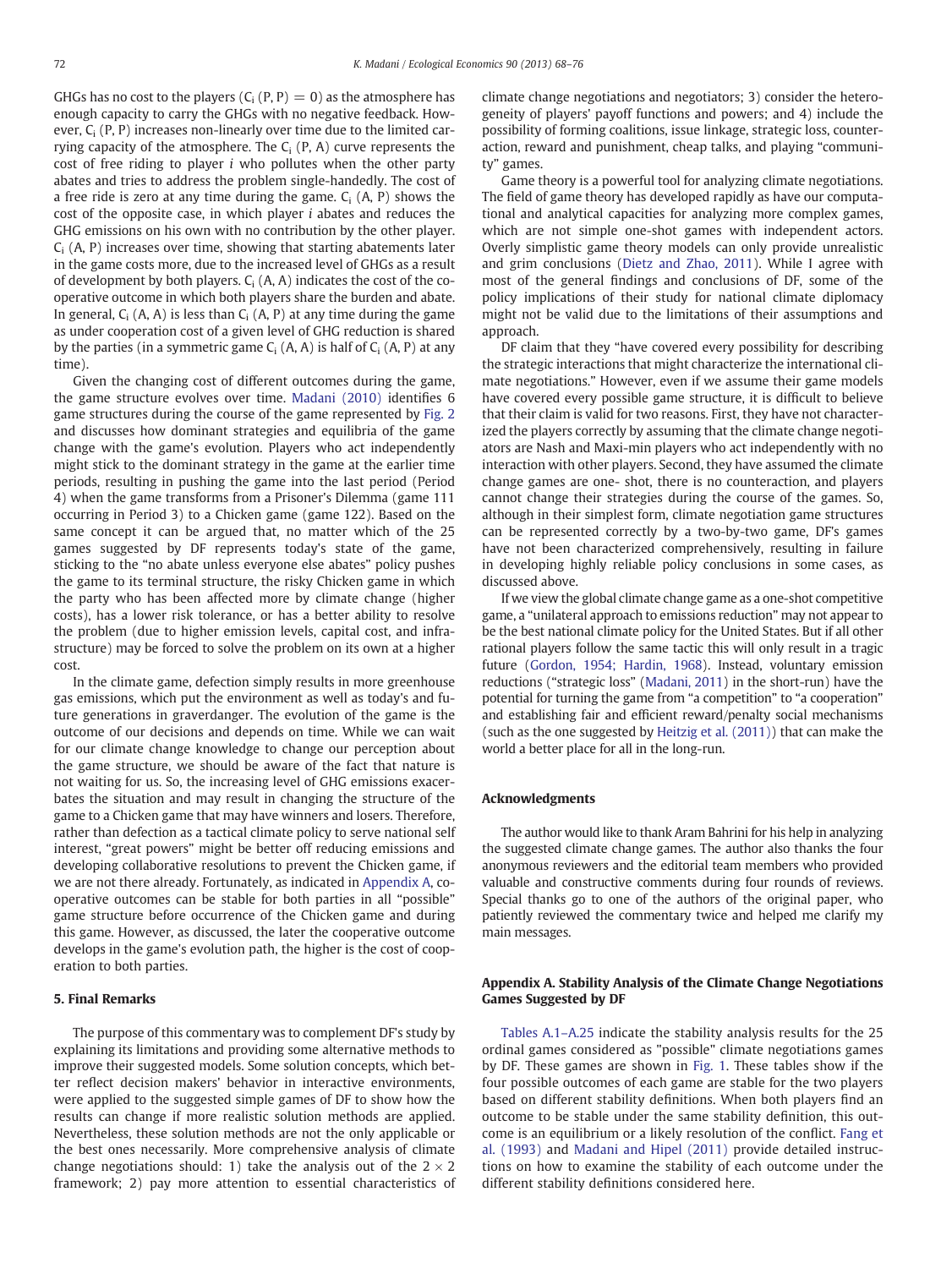<span id="page-4-0"></span>GHGs has no cost to the players  $(C_i (P, P) = 0)$  as the atmosphere has enough capacity to carry the GHGs with no negative feedback. However,  $C_i$  (P, P) increases non-linearly over time due to the limited carrying capacity of the atmosphere. The  $C_i$  (P, A) curve represents the cost of free riding to player i who pollutes when the other party abates and tries to address the problem single-handedly. The cost of a free ride is zero at any time during the game.  $C_i$  (A, P) shows the cost of the opposite case, in which player i abates and reduces the GHG emissions on his own with no contribution by the other player.  $C_i$  (A, P) increases over time, showing that starting abatements later in the game costs more, due to the increased level of GHGs as a result of development by both players.  $C_i$  (A, A) indicates the cost of the cooperative outcome in which both players share the burden and abate. In general,  $C_i$  (A, A) is less than  $C_i$  (A, P) at any time during the game as under cooperation cost of a given level of GHG reduction is shared by the parties (in a symmetric game  $C_i$  (A, A) is half of  $C_i$  (A, P) at any time).

Given the changing cost of different outcomes during the game, the game structure evolves over time. [Madani \(2010\)](#page-8-0) identifies 6 game structures during the course of the game represented by [Fig. 2](#page-3-0) and discusses how dominant strategies and equilibria of the game change with the game's evolution. Players who act independently might stick to the dominant strategy in the game at the earlier time periods, resulting in pushing the game into the last period (Period 4) when the game transforms from a Prisoner's Dilemma (game 111 occurring in Period 3) to a Chicken game (game 122). Based on the same concept it can be argued that, no matter which of the 25 games suggested by DF represents today's state of the game, sticking to the "no abate unless everyone else abates" policy pushes the game to its terminal structure, the risky Chicken game in which the party who has been affected more by climate change (higher costs), has a lower risk tolerance, or has a better ability to resolve the problem (due to higher emission levels, capital cost, and infrastructure) may be forced to solve the problem on its own at a higher cost.

In the climate game, defection simply results in more greenhouse gas emissions, which put the environment as well as today's and future generations in graverdanger. The evolution of the game is the outcome of our decisions and depends on time. While we can wait for our climate change knowledge to change our perception about the game structure, we should be aware of the fact that nature is not waiting for us. So, the increasing level of GHG emissions exacerbates the situation and may result in changing the structure of the game to a Chicken game that may have winners and losers. Therefore, rather than defection as a tactical climate policy to serve national self interest, "great powers" might be better off reducing emissions and developing collaborative resolutions to prevent the Chicken game, if we are not there already. Fortunately, as indicated in Appendix A, cooperative outcomes can be stable for both parties in all "possible" game structure before occurrence of the Chicken game and during this game. However, as discussed, the later the cooperative outcome develops in the game's evolution path, the higher is the cost of cooperation to both parties.

### 5. Final Remarks

The purpose of this commentary was to complement DF's study by explaining its limitations and providing some alternative methods to improve their suggested models. Some solution concepts, which better reflect decision makers' behavior in interactive environments, were applied to the suggested simple games of DF to show how the results can change if more realistic solution methods are applied. Nevertheless, these solution methods are not the only applicable or the best ones necessarily. More comprehensive analysis of climate change negotiations should: 1) take the analysis out of the  $2 \times 2$ framework; 2) pay more attention to essential characteristics of climate change negotiations and negotiators; 3) consider the heterogeneity of players' payoff functions and powers; and 4) include the possibility of forming coalitions, issue linkage, strategic loss, counteraction, reward and punishment, cheap talks, and playing "community" games.

Game theory is a powerful tool for analyzing climate negotiations. The field of game theory has developed rapidly as have our computational and analytical capacities for analyzing more complex games, which are not simple one-shot games with independent actors. Overly simplistic game theory models can only provide unrealistic and grim conclusions ([Dietz and Zhao, 2011](#page-7-0)). While I agree with most of the general findings and conclusions of DF, some of the policy implications of their study for national climate diplomacy might not be valid due to the limitations of their assumptions and approach.

DF claim that they "have covered every possibility for describing the strategic interactions that might characterize the international climate negotiations." However, even if we assume their game models have covered every possible game structure, it is difficult to believe that their claim is valid for two reasons. First, they have not characterized the players correctly by assuming that the climate change negotiators are Nash and Maxi-min players who act independently with no interaction with other players. Second, they have assumed the climate change games are one- shot, there is no counteraction, and players cannot change their strategies during the course of the games. So, although in their simplest form, climate negotiation game structures can be represented correctly by a two-by-two game, DF's games have not been characterized comprehensively, resulting in failure in developing highly reliable policy conclusions in some cases, as discussed above.

If we view the global climate change game as a one-shot competitive game, a "unilateral approach to emissions reduction" may not appear to be the best national climate policy for the United States. But if all other rational players follow the same tactic this will only result in a tragic future ([Gordon, 1954; Hardin, 1968](#page-7-0)). Instead, voluntary emission reductions ("strategic loss" ([Madani, 2011\)](#page-8-0) in the short-run) have the potential for turning the game from "a competition" to "a cooperation" and establishing fair and efficient reward/penalty social mechanisms (such as the one suggested by [Heitzig et al. \(2011\)\)](#page-7-0) that can make the world a better place for all in the long-run.

### Acknowledgments

The author would like to thank Aram Bahrini for his help in analyzing the suggested climate change games. The author also thanks the four anonymous reviewers and the editorial team members who provided valuable and constructive comments during four rounds of reviews. Special thanks go to one of the authors of the original paper, who patiently reviewed the commentary twice and helped me clarify my main messages.

### Appendix A. Stability Analysis of the Climate Change Negotiations Games Suggested by DF

[Tables A.1](#page-5-0)–A.25 indicate the stability analysis results for the 25 ordinal games considered as "possible" climate negotiations games by DF. These games are shown in [Fig. 1](#page-2-0). These tables show if the four possible outcomes of each game are stable for the two players based on different stability definitions. When both players find an outcome to be stable under the same stability definition, this outcome is an equilibrium or a likely resolution of the conflict. [Fang et](#page-7-0) [al. \(1993\)](#page-7-0) and [Madani and Hipel \(2011\)](#page-8-0) provide detailed instructions on how to examine the stability of each outcome under the different stability definitions considered here.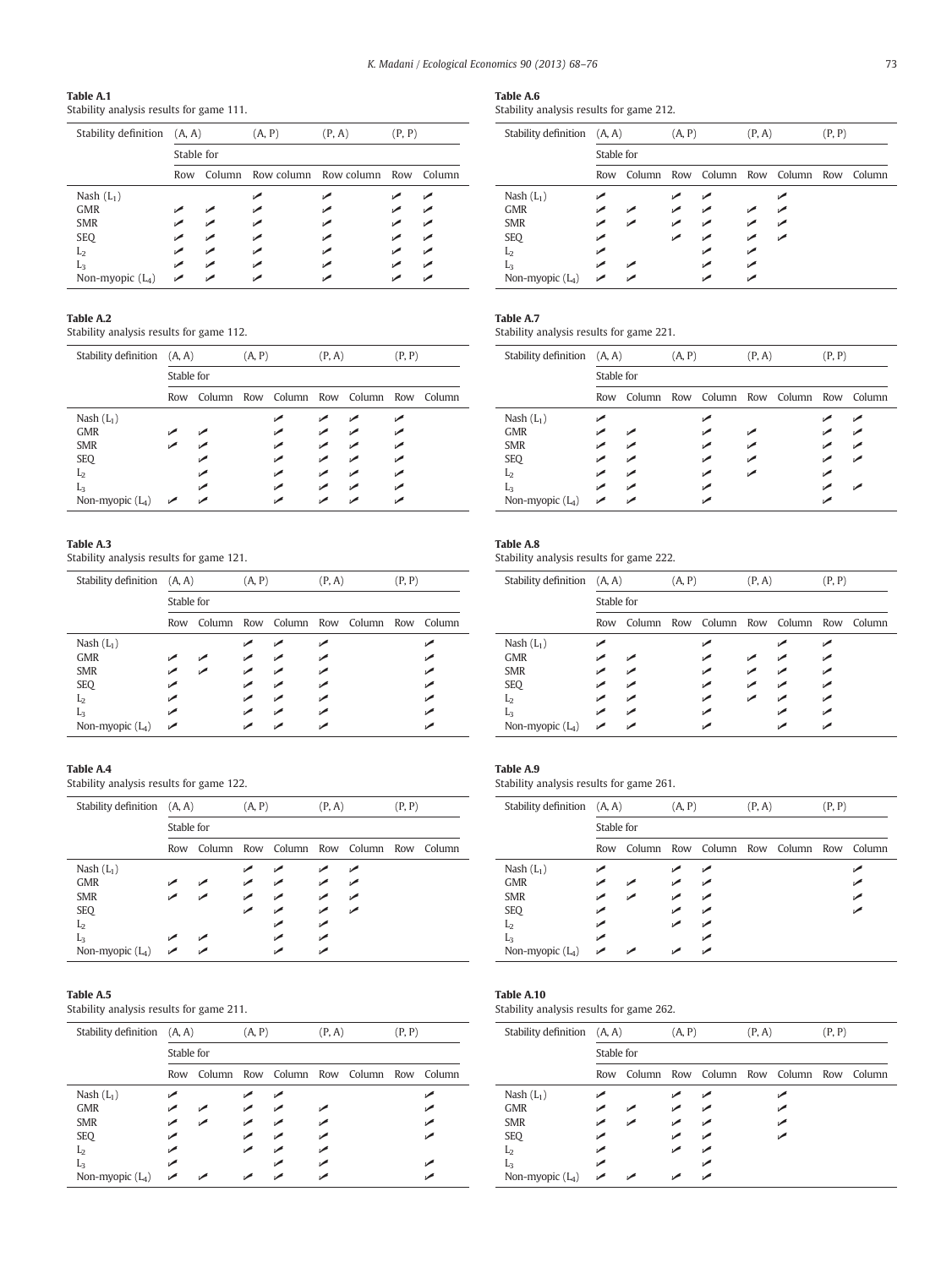$\overline{a}$ 

### <span id="page-5-0"></span>Table A.1

Stability analysis results for game 111.

| Stability definition | (A, A)     | (A, P)                           | (P, A) | (P, P) |        |
|----------------------|------------|----------------------------------|--------|--------|--------|
|                      | Stable for |                                  |        |        |        |
|                      | Row        | Column Row column Row column Row |        |        | Column |
| Nash $(L_1)$         |            |                                  |        |        | مم     |
| GMR                  |            |                                  |        |        |        |
| <b>SMR</b>           |            |                                  |        |        | مم     |
| SEO                  |            |                                  |        |        | مم     |
| $L_2$                |            |                                  |        |        |        |
| L3                   |            |                                  |        |        |        |
| Non-myopic $(L_4)$   |            |                                  |        |        |        |

### Table A.2

Stability analysis results for game 112.

| Stability definition |            | (A, A) |  | (A, P)                |    | (P, A) |     | (P, P) |
|----------------------|------------|--------|--|-----------------------|----|--------|-----|--------|
|                      | Stable for |        |  |                       |    |        |     |        |
|                      | Row        | Column |  | Row Column Row Column |    |        | Row | Column |
| Nash $(L_1)$         |            |        |  |                       |    |        |     |        |
| <b>GMR</b>           |            |        |  |                       | ✔  |        |     |        |
| <b>SMR</b>           |            |        |  |                       | ✔  | مم     |     |        |
| <b>SEQ</b>           |            |        |  |                       | مم | مم     |     |        |
| $L_2$                |            |        |  |                       | مم | مم     |     |        |
| L <sub>3</sub>       |            |        |  |                       | ✔  |        |     |        |
| Non-myopic $(L_4)$   |            |        |  |                       |    |        |     |        |

#### Table A.3

Stability analysis results for game 121.

| Stability definition |            | (A, A) |  | (A, P)<br>(P, A)                 |      |  | (P, P) |    |  |
|----------------------|------------|--------|--|----------------------------------|------|--|--------|----|--|
|                      | Stable for |        |  |                                  |      |  |        |    |  |
|                      | Row        | Column |  | Row Column Row Column Row Column |      |  |        |    |  |
| Nash $(L_1)$         |            |        |  |                                  | مم   |  |        |    |  |
| <b>GMR</b>           |            |        |  |                                  |      |  |        |    |  |
| <b>SMR</b>           |            |        |  |                                  | مم   |  |        | مم |  |
| <b>SEQ</b>           |            |        |  |                                  | مھما |  |        | مم |  |
| L <sub>2</sub>       |            |        |  |                                  | عمرا |  |        | مم |  |
| L3                   |            |        |  |                                  | عمرا |  |        | مم |  |
| Non-myopic $(L_4)$   |            |        |  |                                  |      |  |        |    |  |

### Table A.4

Stability analysis results for game 122.

| Stability definition |            | (A, A) |  | (A, P) |     | (P, A)                           |  | (P, P) |
|----------------------|------------|--------|--|--------|-----|----------------------------------|--|--------|
|                      | Stable for |        |  |        |     |                                  |  |        |
|                      | Row        |        |  |        |     | Column Row Column Row Column Row |  | Column |
| Nash $(L_1)$         |            |        |  |        |     |                                  |  |        |
| <b>GMR</b>           |            |        |  |        |     |                                  |  |        |
| <b>SMR</b>           |            |        |  |        | مم  | مم                               |  |        |
| <b>SEQ</b>           |            |        |  |        |     |                                  |  |        |
| L <sub>2</sub>       |            |        |  |        | ممر |                                  |  |        |
| L3                   |            |        |  |        | ✔   |                                  |  |        |
| Non-myopic $(L_4)$   |            |        |  |        |     |                                  |  |        |

### Table A.5

Stability analysis results for game 211.

| Stability definition |            | (A, A) |  | (A, P)                |      | (P, A) |     | (P, P) |  |
|----------------------|------------|--------|--|-----------------------|------|--------|-----|--------|--|
|                      | Stable for |        |  |                       |      |        |     |        |  |
|                      | Row        | Column |  | Row Column Row Column |      |        | Row | Column |  |
| Nash $(L_1)$         |            |        |  |                       |      |        |     |        |  |
| <b>GMR</b>           |            |        |  |                       |      |        |     |        |  |
| <b>SMR</b>           |            |        |  |                       |      |        |     |        |  |
| <b>SEQ</b>           |            |        |  |                       | مھما |        |     |        |  |
| $L_2$                |            |        |  |                       |      |        |     |        |  |
| L3                   |            |        |  |                       |      |        |     |        |  |
| Non-myopic $(L_4)$   |            |        |  |                       |      |        |     |        |  |

### Table A.6

Stability analysis results for game 212.

| Stability definition | (A, A)     |        |     | (A, P)     |    | (P, A) |     | (P, P) |  |
|----------------------|------------|--------|-----|------------|----|--------|-----|--------|--|
|                      | Stable for |        |     |            |    |        |     |        |  |
|                      | Row        | Column | Row | Column Row |    | Column | Row | Column |  |
| Nash $(L_1)$         | مم         |        |     |            |    |        |     |        |  |
| <b>GMR</b>           |            |        | مم  |            | مم |        |     |        |  |
| <b>SMR</b>           |            |        | ✔   |            | مم |        |     |        |  |
| <b>SEQ</b>           | ✔          |        |     | ھما        |    |        |     |        |  |
| L <sub>2</sub>       | ✔          |        |     | مم         | مم |        |     |        |  |
| L <sub>3</sub>       |            |        |     |            |    |        |     |        |  |
| Non-myopic $(L_4)$   |            |        |     |            |    |        |     |        |  |

### Table A.7

Stability analysis results for game 221.

| Stability definition | (A, A)     |        |     | (A, P)                |  | (P, A) |  |        |
|----------------------|------------|--------|-----|-----------------------|--|--------|--|--------|
|                      | Stable for |        |     |                       |  |        |  |        |
|                      | Row        | Column | Row | Column Row Column Row |  |        |  | Column |
| Nash $(L_1)$         |            |        |     | مم                    |  |        |  |        |
| <b>GMR</b>           |            |        |     | مم                    |  |        |  |        |
| <b>SMR</b>           |            |        |     | مم                    |  |        |  | مم     |
| <b>SEQ</b>           |            |        |     | مم                    |  |        |  |        |
| L <sub>2</sub>       |            |        |     | مم                    |  |        |  |        |
| L3                   |            |        |     | مم                    |  |        |  |        |
| Non-myopic $(L_4)$   |            |        |     |                       |  |        |  |        |

### Table A.8

Stability analysis results for game 222.

| Stability definition | (A, A)     |        | (A, P)                |  | (P, A) |     |        |
|----------------------|------------|--------|-----------------------|--|--------|-----|--------|
|                      | Stable for |        |                       |  |        |     |        |
|                      | Row        | Column | Row Column Row Column |  |        | Row | Column |
| Nash $(L_1)$         |            |        |                       |  |        |     |        |
| <b>GMR</b>           |            |        |                       |  |        | مم  |        |
| <b>SMR</b>           |            |        |                       |  |        | مم  |        |
| <b>SEQ</b>           |            |        |                       |  |        | مم  |        |
| L <sub>2</sub>       |            |        |                       |  |        | مم  |        |
| L3                   |            |        |                       |  |        |     |        |
| Non-myopic $(L_4)$   |            |        |                       |  |        |     |        |

### Table A.9

Stability analysis results for game 261.

| Stability definition | (A, A)     |  | (A, P)                           |  | (P, A) |  | (P, P) |
|----------------------|------------|--|----------------------------------|--|--------|--|--------|
|                      | Stable for |  |                                  |  |        |  |        |
|                      | Row        |  | Column Row Column Row Column Row |  |        |  | Column |
| Nash $(L_1)$         |            |  |                                  |  |        |  |        |
| <b>GMR</b>           |            |  |                                  |  |        |  |        |
| <b>SMR</b>           |            |  |                                  |  |        |  | مم     |
| <b>SEQ</b>           |            |  |                                  |  |        |  |        |
| L <sub>2</sub>       |            |  |                                  |  |        |  |        |
| L <sub>3</sub>       |            |  |                                  |  |        |  |        |
| Non-myopic $(L_4)$   |            |  |                                  |  |        |  |        |

### Table A.10

Stability analysis results for game 262. L

| Stability definition |            | (A, A) |     | (A, P)            | (P, A) |    | (P, P) |        |
|----------------------|------------|--------|-----|-------------------|--------|----|--------|--------|
|                      | Stable for |        |     |                   |        |    |        |        |
|                      | Row        | Column | Row | Column Row Column |        |    | Row    | Column |
| Nash $(L_1)$         | مم         |        |     | مم                |        | مم |        |        |
| <b>GMR</b>           | مم         | مم     |     |                   |        | مم |        |        |
| <b>SMR</b>           | مم         |        |     | مم                |        |    |        |        |
| <b>SEQ</b>           | ✔          |        |     | مم                |        |    |        |        |
| L <sub>2</sub>       | مم         |        |     | مم                |        |    |        |        |
| L3                   | ✔          |        |     | مما               |        |    |        |        |
| Non-myopic $(L_4)$   | مم         |        |     |                   |        |    |        |        |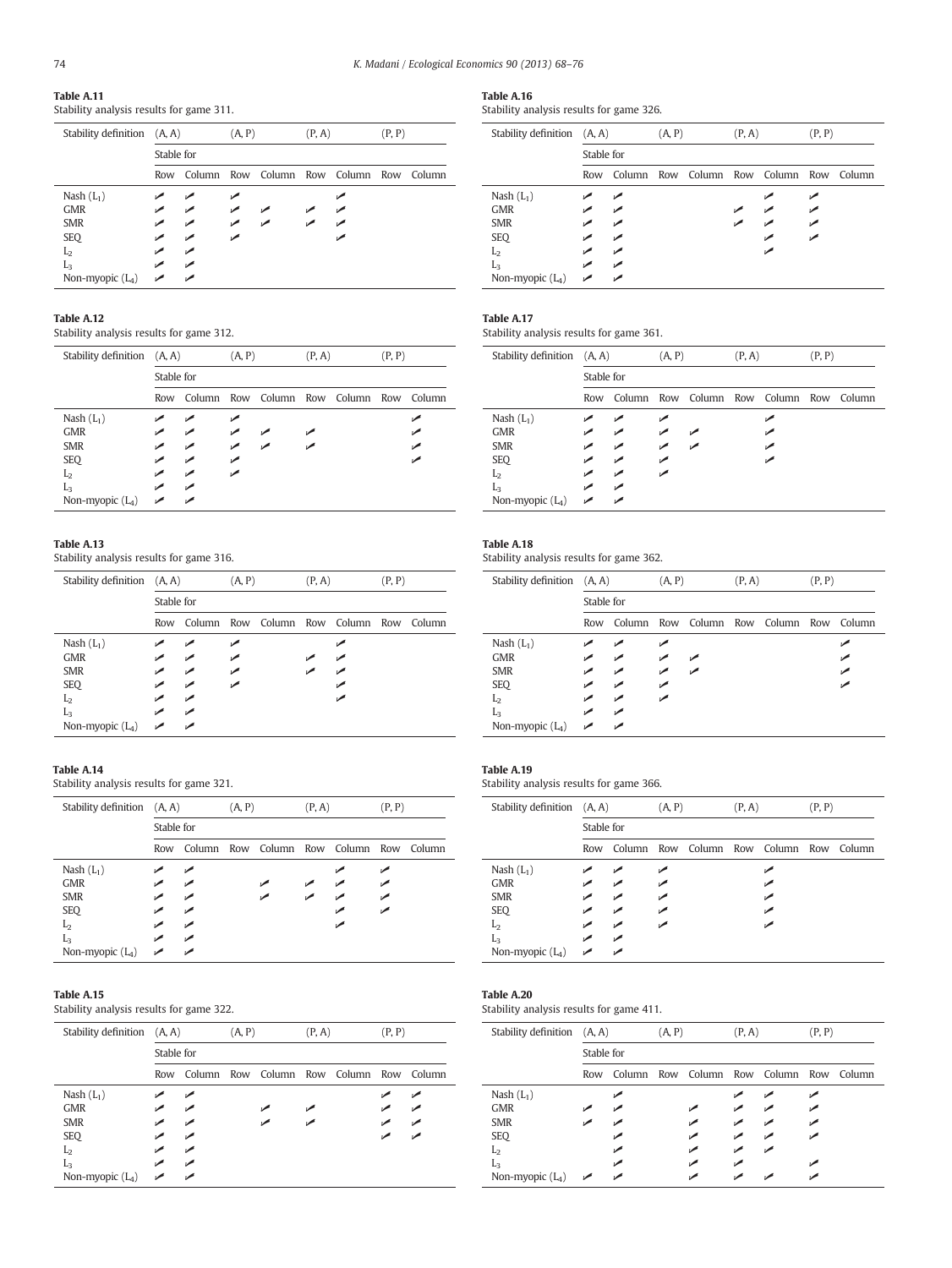### Table A.11 Stability analysis results for game 311.

| Stability definition |            | (A, A) |    | (A, P)                           | (P, A) |    | (P, P) |  |  |
|----------------------|------------|--------|----|----------------------------------|--------|----|--------|--|--|
|                      | Stable for |        |    |                                  |        |    |        |  |  |
|                      | Row        | Column |    | Row Column Row Column Row Column |        |    |        |  |  |
| Nash $(L_1)$         |            |        | مم |                                  |        |    |        |  |  |
| <b>GMR</b>           |            |        |    |                                  |        | مم |        |  |  |
| <b>SMR</b>           |            | محما   |    |                                  |        | مم |        |  |  |
| <b>SEQ</b>           |            | محما   |    |                                  |        |    |        |  |  |
| L <sub>2</sub>       |            | مم     |    |                                  |        |    |        |  |  |
| $L_3$                |            |        |    |                                  |        |    |        |  |  |
| Non-myopic $(L_4)$   |            |        |    |                                  |        |    |        |  |  |

### Table A.12

### Stability analysis results for game 312.

| Stability definition | (A, A)     |        | (A, P) |                           | (P, A) | (P, P) |        |
|----------------------|------------|--------|--------|---------------------------|--------|--------|--------|
|                      | Stable for |        |        |                           |        |        |        |
|                      | Row        | Column |        | Row Column Row Column Row |        |        | Column |
| Nash $(L_1)$         |            | مم     | مم     |                           |        |        |        |
| <b>GMR</b>           |            | محما   |        |                           |        |        |        |
| <b>SMR</b>           |            | مھما   |        |                           |        |        | ممنا   |
| <b>SEQ</b>           |            | محما   | مم     |                           |        |        |        |
| L <sub>2</sub>       |            | محما   | مھما   |                           |        |        |        |
| L <sub>3</sub>       |            | مم     |        |                           |        |        |        |
| Non-myopic $(L_4)$   |            |        |        |                           |        |        |        |

#### Table A.13

Stability analysis results for game 316.

| Stability definition | (A, A)     |      | (A, P) |                                  | (P, A) |    | (P, P) |        |
|----------------------|------------|------|--------|----------------------------------|--------|----|--------|--------|
|                      | Stable for |      |        |                                  |        |    |        |        |
|                      | Row        |      |        | Column Row Column Row Column Row |        |    |        | Column |
| Nash $(L_1)$         |            |      | مم     |                                  |        |    |        |        |
| <b>GMR</b>           |            | مھما | مھما   |                                  |        | مم |        |        |
| <b>SMR</b>           |            | محما | ✔      |                                  |        | مم |        |        |
| <b>SEQ</b>           |            | مھما | ✔      |                                  |        | مم |        |        |
| L <sub>2</sub>       |            | محما |        |                                  |        |    |        |        |
| L <sub>3</sub>       |            | مھما |        |                                  |        |    |        |        |
| Non-myopic $(L_4)$   |            |      |        |                                  |        |    |        |        |

### Table A.14

Stability analysis results for game 321.

| Stability definition | (A, A)     |                          | (A, P) |                           | (P, A) |  | (P, P) |        |
|----------------------|------------|--------------------------|--------|---------------------------|--------|--|--------|--------|
|                      | Stable for |                          |        |                           |        |  |        |        |
|                      | Row        | Column                   |        | Row Column Row Column Row |        |  |        | Column |
| Nash $(L_1)$         |            | مم                       |        |                           |        |  |        |        |
| <b>GMR</b>           |            | $\overline{\phantom{a}}$ |        |                           |        |  | مم     |        |
| <b>SMR</b>           |            | مم                       |        |                           |        |  | مم     |        |
| <b>SEQ</b>           |            | مم                       |        |                           |        |  |        |        |
| $L_2$                |            | $\overline{\phantom{a}}$ |        |                           |        |  |        |        |
| L3                   |            | $\overline{\phantom{a}}$ |        |                           |        |  |        |        |
| Non-myopic $(L_4)$   |            |                          |        |                           |        |  |        |        |

### Table A.15

Stability analysis results for game 322.

| Stability definition | (A, A) |                          | (A, P) |                              | (P, A) |  | (P, P) |        |
|----------------------|--------|--------------------------|--------|------------------------------|--------|--|--------|--------|
|                      |        | Stable for               |        |                              |        |  |        |        |
|                      | Row    |                          |        | Column Row Column Row Column |        |  | Row    | Column |
| Nash $(L_1)$         |        | $\overline{\phantom{a}}$ |        |                              |        |  |        | م      |
| <b>GMR</b>           |        | مم                       |        |                              | مم     |  |        | مم     |
| <b>SMR</b>           |        | مھما                     |        |                              |        |  |        | مم     |
| <b>SEQ</b>           |        | مھما                     |        |                              |        |  |        | مم     |
| L <sub>2</sub>       |        | مھما                     |        |                              |        |  |        |        |
| L <sub>3</sub>       |        | $\sqrt{2}$               |        |                              |        |  |        |        |
| Non-myopic $(L_4)$   |        |                          |        |                              |        |  |        |        |

### Table A.16

Stability analysis results for game 326.

| Stability definition | (A, A)     |                          | (A, P) |                                  | (P, A) | (P, P) |        |
|----------------------|------------|--------------------------|--------|----------------------------------|--------|--------|--------|
|                      | Stable for |                          |        |                                  |        |        |        |
|                      | Row        |                          |        | Column Row Column Row Column Row |        |        | Column |
| Nash $(L_1)$         |            | محما                     |        |                                  |        | مم     |        |
| <b>GMR</b>           |            |                          |        |                                  |        | مم     |        |
| <b>SMR</b>           |            | $\overline{\phantom{a}}$ |        |                                  |        | مم     |        |
| <b>SEQ</b>           |            | مم                       |        |                                  |        | مم     |        |
| L <sub>2</sub>       |            | مم                       |        |                                  |        |        |        |
| L3                   |            | مم                       |        |                                  |        |        |        |
| Non-myopic $(L_4)$   |            |                          |        |                                  |        |        |        |

### Table A.17

Stability analysis results for game 361.

| Stability definition | (A, A)     |      | (A, P) | (P, A) |                                  | (P, P) |        |
|----------------------|------------|------|--------|--------|----------------------------------|--------|--------|
|                      | Stable for |      |        |        |                                  |        |        |
|                      | Row        |      |        |        | Column Row Column Row Column Row |        | Column |
| Nash $(L_1)$         |            |      | محمزا  |        | مم                               |        |        |
| <b>GMR</b>           |            |      |        |        |                                  |        |        |
| <b>SMR</b>           |            | مھما |        |        |                                  |        |        |
| <b>SEQ</b>           |            |      | م      |        |                                  |        |        |
| L <sub>2</sub>       |            |      |        |        |                                  |        |        |
| L3                   |            |      |        |        |                                  |        |        |
| Non-myopic $(L_4)$   |            |      |        |        |                                  |        |        |

### Table A.18

Stability analysis results for game 362.

| Stability definition | (A, A)     |      | (A, P) | (P, A) |                                  | (P, P) |        |
|----------------------|------------|------|--------|--------|----------------------------------|--------|--------|
|                      | Stable for |      |        |        |                                  |        |        |
|                      | Row        |      |        |        | Column Row Column Row Column Row |        | Column |
| Nash $(L_1)$         |            | مم   | مم     |        |                                  |        |        |
| <b>GMR</b>           |            |      | مم     |        |                                  |        |        |
| <b>SMR</b>           |            | مم   | ✔      |        |                                  |        | مم     |
| <b>SEQ</b>           |            | محما | مم     |        |                                  |        |        |
| L <sub>2</sub>       |            | مم   | مم     |        |                                  |        |        |
| L <sub>3</sub>       |            | مم   |        |        |                                  |        |        |
| Non-myopic $(L_4)$   |            |      |        |        |                                  |        |        |

### Table A.19

Stability analysis results for game 366.

| Stability definition |            | (A, A) |    | (A, P) |  | (P, A)                       |     | (P, P) |  |
|----------------------|------------|--------|----|--------|--|------------------------------|-----|--------|--|
|                      | Stable for |        |    |        |  |                              |     |        |  |
|                      | Row        |        |    |        |  | Column Row Column Row Column | Row | Column |  |
| Nash $(L_1)$         |            | محما   | مم |        |  |                              |     |        |  |
| <b>GMR</b>           |            | مم     |    |        |  | حمرا                         |     |        |  |
| <b>SMR</b>           |            | مھما   | مم |        |  | مم                           |     |        |  |
| <b>SEQ</b>           |            | مھما   | مم |        |  |                              |     |        |  |
| L <sub>2</sub>       |            | مھما   |    |        |  |                              |     |        |  |
| L <sub>3</sub>       |            | مھما   |    |        |  |                              |     |        |  |
| Non-myopic $(L_4)$   |            |        |    |        |  |                              |     |        |  |

### Table A.20

Stability analysis results for game 411.

| Stability definition | (A, A)     |  | (A, P) |                              | (P, A) |    | (P, P) |        |
|----------------------|------------|--|--------|------------------------------|--------|----|--------|--------|
|                      | Stable for |  |        |                              |        |    |        |        |
|                      | Row        |  |        | Column Row Column Row Column |        |    | Row    | Column |
| Nash $(L_1)$         |            |  |        |                              |        |    |        |        |
| <b>GMR</b>           |            |  |        |                              |        |    |        |        |
| <b>SMR</b>           |            |  |        |                              |        | مم |        |        |
| <b>SEQ</b>           |            |  |        |                              |        | مم |        |        |
| $L_2$                |            |  |        |                              |        |    |        |        |
| L <sub>3</sub>       |            |  |        |                              |        |    |        |        |
| Non-myopic $(L_4)$   |            |  |        |                              |        |    |        |        |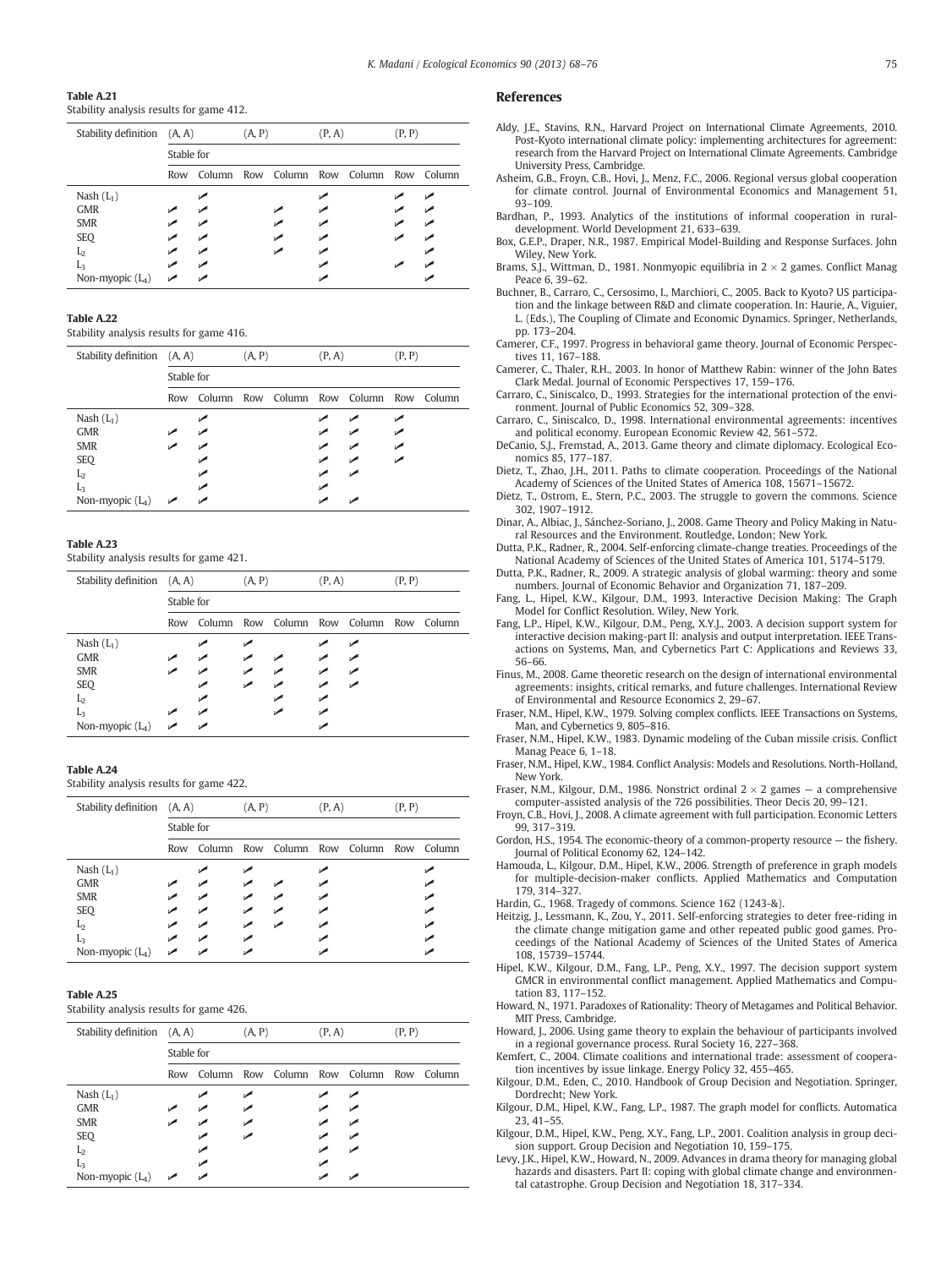### <span id="page-7-0"></span>Table A.21

Stability analysis results for game 412.

| Stability definition |     | (A, A)     |  | (A, P)                       |       | (P, A) |  | (P, P)     |  |
|----------------------|-----|------------|--|------------------------------|-------|--------|--|------------|--|
|                      |     | Stable for |  |                              |       |        |  |            |  |
|                      | Row |            |  | Column Row Column Row Column |       |        |  | Row Column |  |
| Nash $(L_1)$         |     |            |  |                              | ✔     |        |  | مم         |  |
| <b>GMR</b>           |     |            |  |                              | ممر   |        |  | مم         |  |
| <b>SMR</b>           |     |            |  |                              | ممر   |        |  | م          |  |
| <b>SEQ</b>           |     |            |  |                              | ممر   |        |  | م          |  |
| L <sub>2</sub>       |     |            |  |                              | محمزا |        |  |            |  |
| $L_3$                |     |            |  |                              |       |        |  | م          |  |
| Non-myopic $(L_4)$   |     |            |  |                              |       |        |  |            |  |

#### Table A.22

Stability analysis results for game 416.

| Stability definition |     | (A, A)     |  | (A, P)                                  | (P, A) |    | (P, P) |  |
|----------------------|-----|------------|--|-----------------------------------------|--------|----|--------|--|
|                      |     | Stable for |  |                                         |        |    |        |  |
|                      | Row |            |  | Column Row Column Row Column Row Column |        |    |        |  |
| Nash $(L_1)$         |     |            |  |                                         |        |    | محما   |  |
| <b>GMR</b>           |     |            |  |                                         |        |    |        |  |
| <b>SMR</b>           |     |            |  |                                         | مم     |    | مم     |  |
| <b>SEQ</b>           |     |            |  |                                         |        | مم |        |  |
| $L_2$                |     |            |  |                                         |        |    |        |  |
| L3                   |     |            |  |                                         |        |    |        |  |
| Non-myopic $(L_4)$   |     |            |  |                                         |        |    |        |  |

#### Table A.23

Stability analysis results for game 421.

| Stability definition | (A, A)     |    | (A, P) |    | (P, A) |                                  | (P, P) |        |
|----------------------|------------|----|--------|----|--------|----------------------------------|--------|--------|
|                      | Stable for |    |        |    |        |                                  |        |        |
|                      | Row        |    |        |    |        | Column Row Column Row Column Row |        | Column |
| Nash $(L_1)$         |            |    |        |    |        |                                  |        |        |
| <b>GMR</b>           |            |    | ✔      |    |        | مم                               |        |        |
| <b>SMR</b>           |            |    |        |    |        | مم                               |        |        |
| <b>SEQ</b>           |            | مم | ممر    | مم |        | مم                               |        |        |
| $L_2$                |            |    |        |    |        |                                  |        |        |
| Lз                   |            |    |        |    |        |                                  |        |        |
| Non-myopic $(L_4)$   |            |    |        |    |        |                                  |        |        |

#### Table A.24

Stability analysis results for game 422.

| Stability definition | (A, A)     |  | (A, P) |                                         | (P, A) |  | (P, P) |  |
|----------------------|------------|--|--------|-----------------------------------------|--------|--|--------|--|
|                      | Stable for |  |        |                                         |        |  |        |  |
|                      | Row        |  |        | Column Row Column Row Column Row Column |        |  |        |  |
| Nash $(L_1)$         |            |  |        |                                         |        |  |        |  |
| <b>GMR</b>           |            |  | ممر    |                                         |        |  |        |  |
| <b>SMR</b>           |            |  |        |                                         |        |  |        |  |
| <b>SEQ</b>           |            |  |        |                                         |        |  |        |  |
| $L_2$                |            |  |        |                                         |        |  |        |  |
| L3                   |            |  |        |                                         |        |  |        |  |
| Non-myopic $(L_4)$   |            |  |        |                                         |        |  |        |  |

#### Table A.25

Stability analysis results for game 426.

| Stability definition | (A, A)     |      | (A, P) |                                         | (P, A) |      | (P, P) |  |
|----------------------|------------|------|--------|-----------------------------------------|--------|------|--------|--|
|                      | Stable for |      |        |                                         |        |      |        |  |
|                      | Row        |      |        | Column Row Column Row Column Row Column |        |      |        |  |
| Nash $(L_1)$         |            |      |        |                                         |        |      |        |  |
| <b>GMR</b>           |            | مم   | ممر    |                                         |        | مم   |        |  |
| <b>SMR</b>           |            | مھما | ✔      |                                         |        | محما |        |  |
| <b>SEQ</b>           |            | مم   | حمرا   |                                         |        | مم   |        |  |
| L <sub>2</sub>       |            | ✔    |        |                                         | حمرا   |      |        |  |
| L <sub>3</sub>       |            |      |        |                                         | مم     |      |        |  |
| Non-myopic $(L_4)$   |            |      |        |                                         |        |      |        |  |

### References

- Aldy, J.E., Stavins, R.N., Harvard Project on International Climate Agreements, 2010. Post-Kyoto international climate policy: implementing architectures for agreement: research from the Harvard Project on International Climate Agreements. Cambridge University Press, Cambridge.
- Asheim, G.B., Froyn, C.B., Hovi, J., Menz, F.C., 2006. Regional versus global cooperation for climate control. Journal of Environmental Economics and Management 51, 93–109.
- Bardhan, P., 1993. Analytics of the institutions of informal cooperation in ruraldevelopment. World Development 21, 633–639.
- Box, G.E.P., Draper, N.R., 1987. Empirical Model-Building and Response Surfaces. John Wiley, New York.
- Brams, S.I., Wittman, D., 1981. Nonmyopic equilibria in  $2 \times 2$  games. Conflict Manag Peace 6, 39–62.
- Buchner, B., Carraro, C., Cersosimo, I., Marchiori, C., 2005. Back to Kyoto? US participation and the linkage between R&D and climate cooperation. In: Haurie, A., Viguier, L. (Eds.), The Coupling of Climate and Economic Dynamics. Springer, Netherlands, pp. 173–204.
- Camerer, C.F., 1997. Progress in behavioral game theory. Journal of Economic Perspectives 11, 167–188.
- Camerer, C., Thaler, R.H., 2003. In honor of Matthew Rabin: winner of the John Bates Clark Medal. Journal of Economic Perspectives 17, 159–176.
- Carraro, C., Siniscalco, D., 1993. Strategies for the international protection of the environment. Journal of Public Economics 52, 309–328.
- Carraro, C., Siniscalco, D., 1998. International environmental agreements: incentives and political economy. European Economic Review 42, 561–572.
- DeCanio, S.J., Fremstad, A., 2013. Game theory and climate diplomacy. Ecological Economics 85, 177–187.
- Dietz, T., Zhao, J.H., 2011. Paths to climate cooperation. Proceedings of the National Academy of Sciences of the United States of America 108, 15671–15672.
- Dietz, T., Ostrom, E., Stern, P.C., 2003. The struggle to govern the commons. Science 302, 1907–1912.
- Dinar, A., Albiac, J., Sánchez-Soriano, J., 2008. Game Theory and Policy Making in Natural Resources and the Environment. Routledge, London; New York.
- Dutta, P.K., Radner, R., 2004. Self-enforcing climate-change treaties. Proceedings of the National Academy of Sciences of the United States of America 101, 5174–5179.
- Dutta, P.K., Radner, R., 2009. A strategic analysis of global warming: theory and some numbers. Journal of Economic Behavior and Organization 71, 187–209.
- Fang, L., Hipel, K.W., Kilgour, D.M., 1993. Interactive Decision Making: The Graph Model for Conflict Resolution. Wiley, New York.
- Fang, L.P., Hipel, K.W., Kilgour, D.M., Peng, X.Y.J., 2003. A decision support system for interactive decision making-part II: analysis and output interpretation. IEEE Transactions on Systems, Man, and Cybernetics Part C: Applications and Reviews 33, 56–66.
- Finus, M., 2008. Game theoretic research on the design of international environmental agreements: insights, critical remarks, and future challenges. International Review of Environmental and Resource Economics 2, 29–67.
- Fraser, N.M., Hipel, K.W., 1979. Solving complex conflicts. IEEE Transactions on Systems, Man, and Cybernetics 9, 805–816.
- Fraser, N.M., Hipel, K.W., 1983. Dynamic modeling of the Cuban missile crisis. Conflict Manag Peace 6, 1–18.
- Fraser, N.M., Hipel, K.W., 1984. Conflict Analysis: Models and Resolutions. North-Holland, New York.
- Fraser, N.M., Kilgour, D.M., 1986. Nonstrict ordinal  $2 \times 2$  games  $-$  a comprehensive computer-assisted analysis of the 726 possibilities. Theor Decis 20, 99–121.
- Froyn, C.B., Hovi, J., 2008. A climate agreement with full participation. Economic Letters 99, 317–319.
- Gordon, H.S., 1954. The economic-theory of a common-property resource the fishery. Journal of Political Economy 62, 124–142.
- Hamouda, L., Kilgour, D.M., Hipel, K.W., 2006. Strength of preference in graph models for multiple-decision-maker conflicts. Applied Mathematics and Computation 179, 314–327.
- Hardin, G., 1968. Tragedy of commons. Science 162 (1243-&).
- Heitzig, J., Lessmann, K., Zou, Y., 2011. Self-enforcing strategies to deter free-riding in the climate change mitigation game and other repeated public good games. Proceedings of the National Academy of Sciences of the United States of America 108, 15739–15744.
- Hipel, K.W., Kilgour, D.M., Fang, L.P., Peng, X.Y., 1997. The decision support system GMCR in environmental conflict management. Applied Mathematics and Computation 83, 117–152.
- Howard, N., 1971. Paradoxes of Rationality: Theory of Metagames and Political Behavior. MIT Press, Cambridge.
- Howard, J., 2006. Using game theory to explain the behaviour of participants involved in a regional governance process. Rural Society 16, 227–368.
- Kemfert, C., 2004. Climate coalitions and international trade: assessment of cooperation incentives by issue linkage. Energy Policy 32, 455–465.
- Kilgour, D.M., Eden, C., 2010. Handbook of Group Decision and Negotiation. Springer, Dordrecht; New York.
- Kilgour, D.M., Hipel, K.W., Fang, L.P., 1987. The graph model for conflicts. Automatica 23, 41–55.
- Kilgour, D.M., Hipel, K.W., Peng, X.Y., Fang, L.P., 2001. Coalition analysis in group decision support. Group Decision and Negotiation 10, 159–175.
- Levy, J.K., Hipel, K.W., Howard, N., 2009. Advances in drama theory for managing global hazards and disasters. Part II: coping with global climate change and environmental catastrophe. Group Decision and Negotiation 18, 317–334.